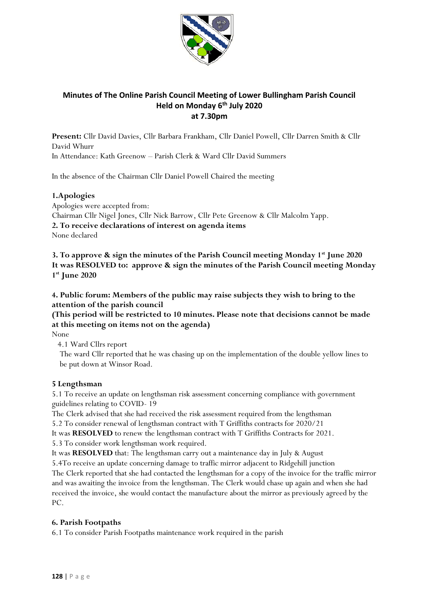

# **Minutes of The Online Parish Council Meeting of Lower Bullingham Parish Council Held on Monday 6 th July 2020 at 7.30pm**

**Present:** Cllr David Davies, Cllr Barbara Frankham, Cllr Daniel Powell, Cllr Darren Smith & Cllr David Whurr

In Attendance: Kath Greenow – Parish Clerk & Ward Cllr David Summers

In the absence of the Chairman Cllr Daniel Powell Chaired the meeting

## **1.Apologies**

Apologies were accepted from: Chairman Cllr Nigel Jones, Cllr Nick Barrow, Cllr Pete Greenow & Cllr Malcolm Yapp. **2. To receive declarations of interest on agenda items** None declared

**3. To approve & sign the minutes of the Parish Council meeting Monday 1st June 2020 It was RESOLVED to: approve & sign the minutes of the Parish Council meeting Monday 1 st June 2020**

**4. Public forum: Members of the public may raise subjects they wish to bring to the attention of the parish council**

## **(This period will be restricted to 10 minutes. Please note that decisions cannot be made at this meeting on items not on the agenda)**

None

4.1 Ward Cllrs report

 The ward Cllr reported that he was chasing up on the implementation of the double yellow lines to be put down at Winsor Road.

## **5 Lengthsman**

5.1 To receive an update on lengthsman risk assessment concerning compliance with government guidelines relating to COVID- 19

The Clerk advised that she had received the risk assessment required from the lengthsman

5.2 To consider renewal of lengthsman contract with T Griffiths contracts for 2020/21

It was **RESOLVED** to renew the lengthsman contract with T Griffiths Contracts for 2021.

5.3 To consider work lengthsman work required.

It was **RESOLVED** that: The lengthsman carry out a maintenance day in July & August

5.4To receive an update concerning damage to traffic mirror adjacent to Ridgehill junction The Clerk reported that she had contacted the lengthsman for a copy of the invoice for the traffic mirror and was awaiting the invoice from the lengthsman. The Clerk would chase up again and when she had received the invoice, she would contact the manufacture about the mirror as previously agreed by the PC.

### **6. Parish Footpaths**

6.1 To consider Parish Footpaths maintenance work required in the parish